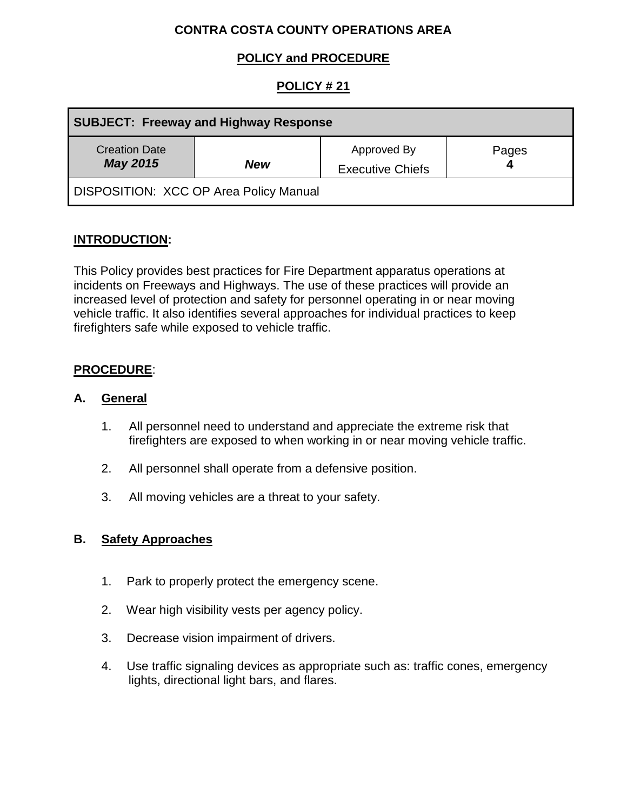# **CONTRA COSTA COUNTY OPERATIONS AREA**

# **POLICY and PROCEDURE**

# **POLICY # 21**

| <b>SUBJECT: Freeway and Highway Response</b>  |            |                                        |       |
|-----------------------------------------------|------------|----------------------------------------|-------|
| <b>Creation Date</b><br><b>May 2015</b>       | <b>New</b> | Approved By<br><b>Executive Chiefs</b> | Pages |
| <b>DISPOSITION: XCC OP Area Policy Manual</b> |            |                                        |       |

### **INTRODUCTION:**

This Policy provides best practices for Fire Department apparatus operations at incidents on Freeways and Highways. The use of these practices will provide an increased level of protection and safety for personnel operating in or near moving vehicle traffic. It also identifies several approaches for individual practices to keep firefighters safe while exposed to vehicle traffic.

### **PROCEDURE**:

#### **A. General**

- 1. All personnel need to understand and appreciate the extreme risk that firefighters are exposed to when working in or near moving vehicle traffic.
- 2. All personnel shall operate from a defensive position.
- 3. All moving vehicles are a threat to your safety.

#### **B. Safety Approaches**

- 1. Park to properly protect the emergency scene.
- 2. Wear high visibility vests per agency policy.
- 3. Decrease vision impairment of drivers.
- 4. Use traffic signaling devices as appropriate such as: traffic cones, emergency lights, directional light bars, and flares.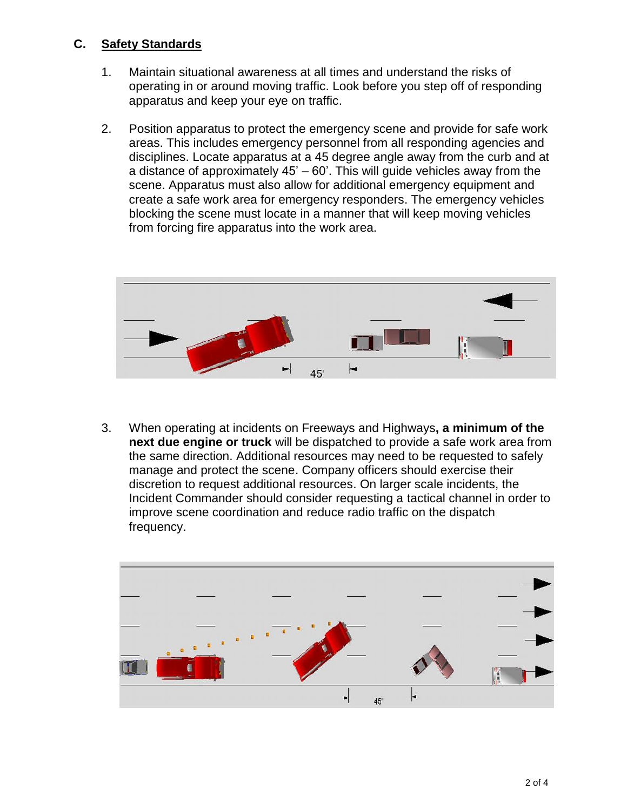### **C. Safety Standards**

- 1. Maintain situational awareness at all times and understand the risks of operating in or around moving traffic. Look before you step off of responding apparatus and keep your eye on traffic.
- 2. Position apparatus to protect the emergency scene and provide for safe work areas. This includes emergency personnel from all responding agencies and disciplines. Locate apparatus at a 45 degree angle away from the curb and at a distance of approximately 45' – 60'. This will guide vehicles away from the scene. Apparatus must also allow for additional emergency equipment and create a safe work area for emergency responders. The emergency vehicles blocking the scene must locate in a manner that will keep moving vehicles from forcing fire apparatus into the work area.



3. When operating at incidents on Freeways and Highways**, a minimum of the next due engine or truck** will be dispatched to provide a safe work area from the same direction. Additional resources may need to be requested to safely manage and protect the scene. Company officers should exercise their discretion to request additional resources. On larger scale incidents, the Incident Commander should consider requesting a tactical channel in order to improve scene coordination and reduce radio traffic on the dispatch frequency.

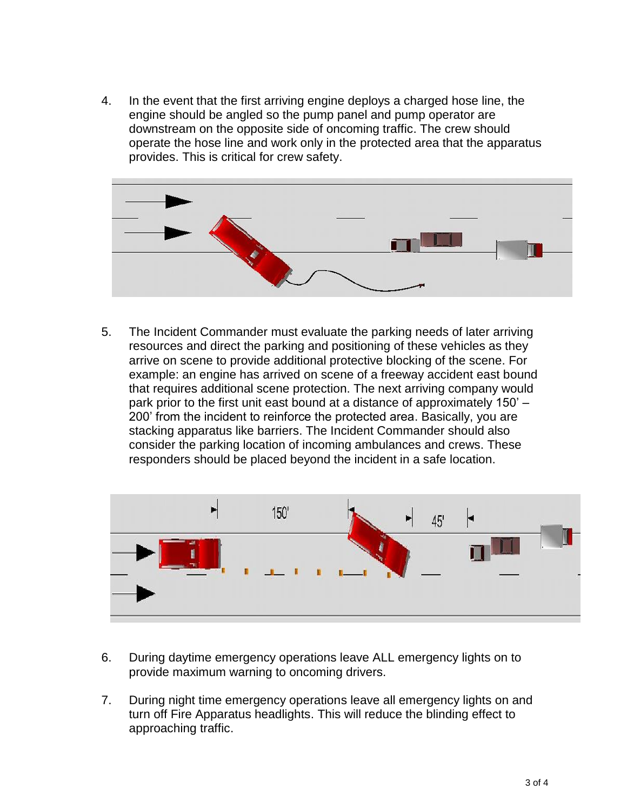4. In the event that the first arriving engine deploys a charged hose line, the engine should be angled so the pump panel and pump operator are downstream on the opposite side of oncoming traffic. The crew should operate the hose line and work only in the protected area that the apparatus provides. This is critical for crew safety.



5. The Incident Commander must evaluate the parking needs of later arriving resources and direct the parking and positioning of these vehicles as they arrive on scene to provide additional protective blocking of the scene. For example: an engine has arrived on scene of a freeway accident east bound that requires additional scene protection. The next arriving company would park prior to the first unit east bound at a distance of approximately 150' – 200' from the incident to reinforce the protected area. Basically, you are stacking apparatus like barriers. The Incident Commander should also consider the parking location of incoming ambulances and crews. These responders should be placed beyond the incident in a safe location.



- 6. During daytime emergency operations leave ALL emergency lights on to provide maximum warning to oncoming drivers.
- 7. During night time emergency operations leave all emergency lights on and turn off Fire Apparatus headlights. This will reduce the blinding effect to approaching traffic.